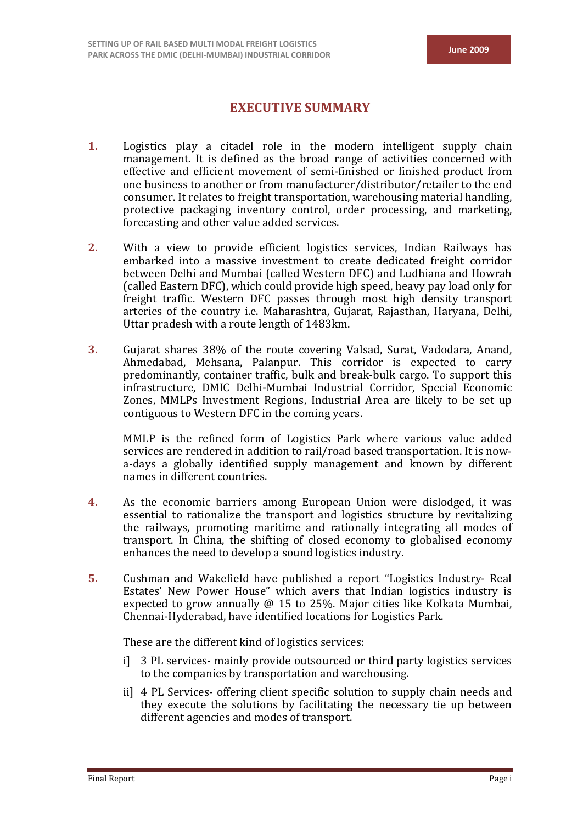# **EXECUTIVE SUMMARY**

- **1.** Logistics play a citadel role in the modern intelligent supply chain management. It is defined as the broad range of activities concerned with effective and efficient movement of semi-finished or finished product from one business to another or from manufacturer/distributor/retailer to the end consumer. It relates to freight transportation, warehousing material handling, protective packaging inventory control, order processing, and marketing, forecasting and other value added services.
- **2.** With a view to provide efficient logistics services, Indian Railways has embarked into a massive investment to create dedicated freight corridor between Delhi and Mumbai (called Western DFC) and Ludhiana and Howrah (called Eastern DFC), which could provide high speed, heavy pay load only for freight traffic. Western DFC passes through most high density transport arteries of the country i.e. Maharashtra, Gujarat, Rajasthan, Haryana, Delhi, Uttar pradesh with a route length of 1483km.
- **3.** Gujarat shares 38% of the route covering Valsad, Surat, Vadodara, Anand, Ahmedabad, Mehsana, Palanpur. This corridor is expected to carry predominantly, container traffic, bulk and break-bulk cargo. To support this infrastructure, DMIC Delhi-Mumbai Industrial Corridor, Special Economic Zones, MMLPs Investment Regions, Industrial Area are likely to be set up contiguous to Western DFC in the coming years.

MMLP is the refined form of Logistics Park where various value added services are rendered in addition to rail/road based transportation. It is nowa-days a globally identified supply management and known by different names in different countries.

- **4.** As the economic barriers among European Union were dislodged, it was essential to rationalize the transport and logistics structure by revitalizing the railways, promoting maritime and rationally integrating all modes of transport. In China, the shifting of closed economy to globalised economy enhances the need to develop a sound logistics industry.
- **5.** Cushman and Wakefield have published a report "Logistics Industry- Real Estates' New Power House" which avers that Indian logistics industry is expected to grow annually @ 15 to 25%. Major cities like Kolkata Mumbai, Chennai-Hyderabad, have identified locations for Logistics Park.

These are the different kind of logistics services:

- i] 3 PL services- mainly provide outsourced or third party logistics services to the companies by transportation and warehousing.
- ii] 4 PL Services- offering client specific solution to supply chain needs and they execute the solutions by facilitating the necessary tie up between different agencies and modes of transport.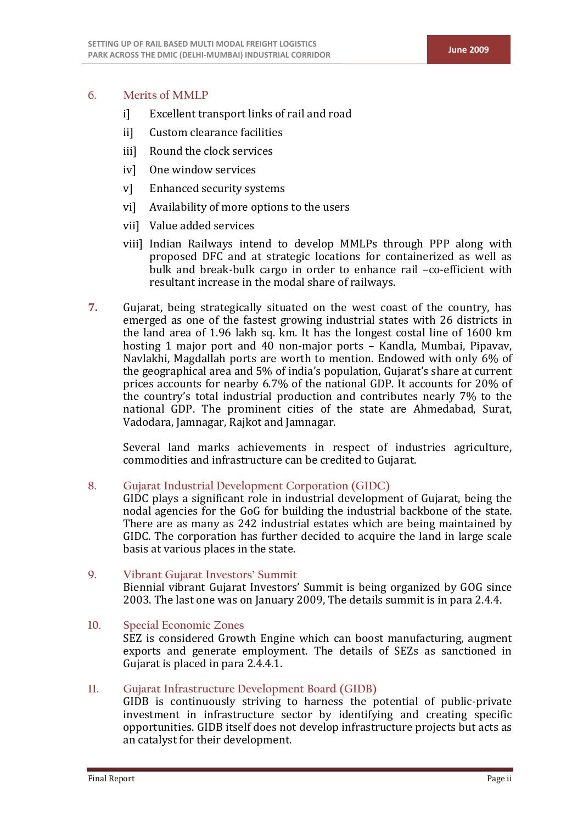## **6. Merits of MMLP**

- i] Excellent transport links of rail and road
- ii] Custom clearance facilities
- iii] Round the clock services
- iv] One window services
- v] Enhanced security systems
- vi] Availability of more options to the users
- vii] Value added services
- viii] Indian Railways intend to develop MMLPs through PPP along with proposed DFC and at strategic locations for containerized as well as bulk and break-bulk cargo in order to enhance rail –co-efficient with resultant increase in the modal share of railways.
- **7.** Gujarat, being strategically situated on the west coast of the country, has emerged as one of the fastest growing industrial states with 26 districts in the land area of 1.96 lakh sq. km. It has the longest costal line of 1600 km hosting 1 major port and 40 non-major ports – Kandla, Mumbai, Pipavav, Navlakhi, Magdallah ports are worth to mention. Endowed with only 6% of the geographical area and 5% of india's population, Gujarat's share at current prices accounts for nearby 6.7% of the national GDP. It accounts for 20% of the country's total industrial production and contributes nearly 7% to the national GDP. The prominent cities of the state are Ahmedabad, Surat, Vadodara, Jamnagar, Rajkot and Jamnagar.

Several land marks achievements in respect of industries agriculture, commodities and infrastructure can be credited to Gujarat.

**8. Gujarat Industrial Development Corporation (GIDC)**

GIDC plays a significant role in industrial development of Gujarat, being the nodal agencies for the GoG for building the industrial backbone of the state. There are as many as 242 industrial estates which are being maintained by GIDC. The corporation has further decided to acquire the land in large scale basis at various places in the state.

- **9. Vibrant Gujarat Investors' Summit** Biennial vibrant Gujarat Investors' Summit is being organized by GOG since 2003. The last one was on January 2009, The details summit is in para 2.4.4.
- **10. Special Economic Zones** SEZ is considered Growth Engine which can boost manufacturing, augment exports and generate employment. The details of SEZs as sanctioned in Gujarat is placed in para 2.4.4.1.
- **11. Gujarat Infrastructure Development Board (GIDB)**

GIDB is continuously striving to harness the potential of public-private investment in infrastructure sector by identifying and creating specific opportunities. GIDB itself does not develop infrastructure projects but acts as an catalyst for their development.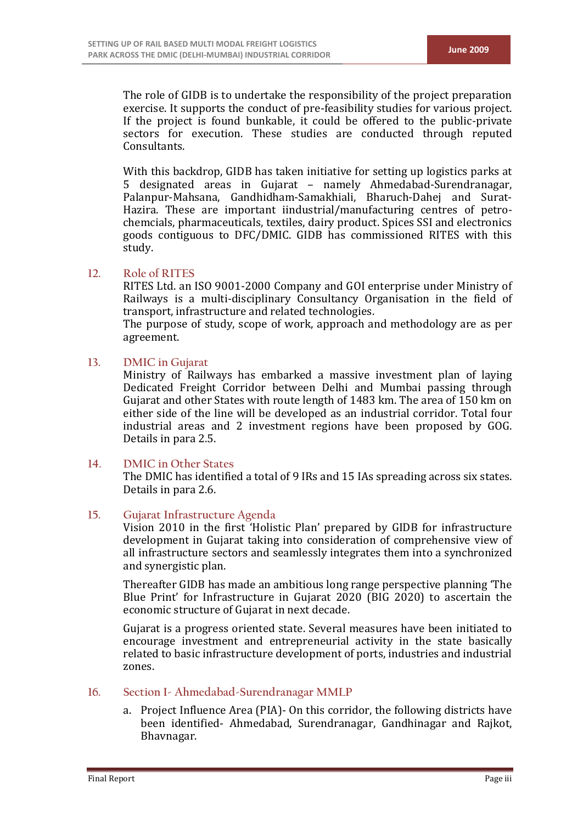The role of GIDB is to undertake the responsibility of the project preparation exercise. It supports the conduct of pre-feasibility studies for various project. If the project is found bunkable, it could be offered to the public-private sectors for execution. These studies are conducted through reputed Consultants.

With this backdrop, GIDB has taken initiative for setting up logistics parks at 5 designated areas in Gujarat – namely Ahmedabad-Surendranagar, Palanpur-Mahsana, Gandhidham-Samakhiali, Bharuch-Dahej and Surat-Hazira. These are important iindustrial/manufacturing centres of petrochemcials, pharmaceuticals, textiles, dairy product. Spices SSI and electronics goods contiguous to DFC/DMIC. GIDB has commissioned RITES with this study.

#### **12. Role of RITES**

RITES Ltd. an ISO 9001-2000 Company and GOI enterprise under Ministry of Railways is a multi-disciplinary Consultancy Organisation in the field of transport, infrastructure and related technologies.

The purpose of study, scope of work, approach and methodology are as per agreement.

#### **13. DMIC in Gujarat**

Ministry of Railways has embarked a massive investment plan of laying Dedicated Freight Corridor between Delhi and Mumbai passing through Gujarat and other States with route length of 1483 km. The area of 150 km on either side of the line will be developed as an industrial corridor. Total four industrial areas and 2 investment regions have been proposed by GOG. Details in para 2.5.

#### **14. DMIC in Other States**

The DMIC has identified a total of 9 IRs and 15 IAs spreading across six states. Details in para 2.6.

#### **15. Gujarat Infrastructure Agenda**

Vision 2010 in the first 'Holistic Plan' prepared by GIDB for infrastructure development in Gujarat taking into consideration of comprehensive view of all infrastructure sectors and seamlessly integrates them into a synchronized and synergistic plan.

Thereafter GIDB has made an ambitious long range perspective planning 'The Blue Print' for Infrastructure in Gujarat 2020 (BIG 2020) to ascertain the economic structure of Gujarat in next decade.

Gujarat is a progress oriented state. Several measures have been initiated to encourage investment and entrepreneurial activity in the state basically related to basic infrastructure development of ports, industries and industrial zones.

#### **16. Section I- Ahmedabad-Surendranagar MMLP**

a. Project Influence Area (PIA)- On this corridor, the following districts have been identified- Ahmedabad, Surendranagar, Gandhinagar and Rajkot, Bhavnagar.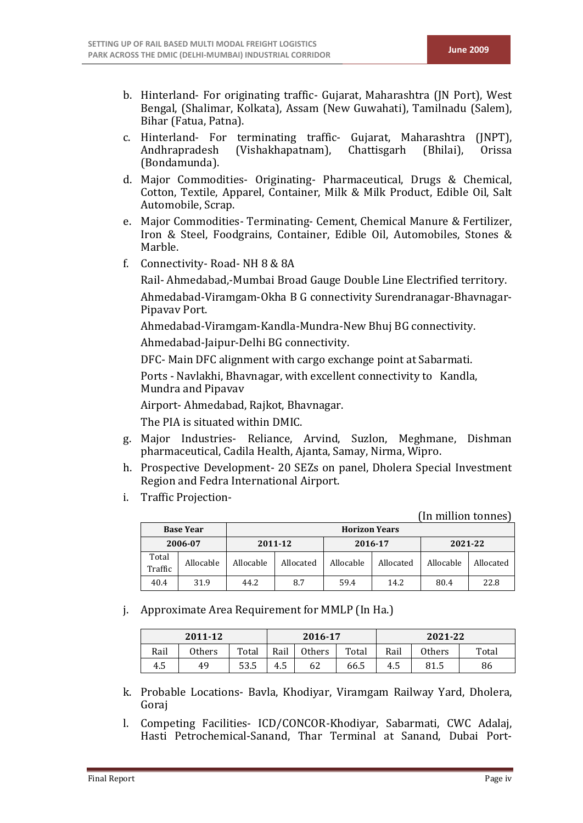- b. Hinterland- For originating traffic- Gujarat, Maharashtra (JN Port), West Bengal, (Shalimar, Kolkata), Assam (New Guwahati), Tamilnadu (Salem), Bihar (Fatua, Patna).
- c. Hinterland- For terminating traffic- Gujarat, Maharashtra (JNPT),<br>Andhrapradesh (Vishakhapatnam), Chattisgarh (Bhilai), Orissa (Vishakhapatnam), (Bondamunda).
- d. Major Commodities- Originating- Pharmaceutical, Drugs & Chemical, Cotton, Textile, Apparel, Container, Milk & Milk Product, Edible Oil, Salt Automobile, Scrap.
- e. Major Commodities- Terminating- Cement, Chemical Manure & Fertilizer, Iron & Steel, Foodgrains, Container, Edible Oil, Automobiles, Stones & Marble.
- f. Connectivity- Road- NH 8 & 8A

Rail- Ahmedabad,-Mumbai Broad Gauge Double Line Electrified territory. Ahmedabad-Viramgam-Okha B G connectivity Surendranagar-Bhavnagar-Pipavav Port.

Ahmedabad-Viramgam-Kandla-Mundra-New Bhuj BG connectivity.

Ahmedabad-Jaipur-Delhi BG connectivity.

DFC- Main DFC alignment with cargo exchange point at Sabarmati.

Ports - Navlakhi, Bhavnagar, with excellent connectivity to Kandla, Mundra and Pipavav

Airport- Ahmedabad, Rajkot, Bhavnagar.

The PIA is situated within DMIC.

- g. Major Industries- Reliance, Arvind, Suzlon, Meghmane, Dishman pharmaceutical, Cadila Health, Ajanta, Samay, Nirma, Wipro.
- h. Prospective Development- 20 SEZs on panel, Dholera Special Investment Region and Fedra International Airport.
- i. Traffic Projection-

#### (In million tonnes)

|                  | <b>Base Year</b> |           | <b>Horizon Years</b> |           |           |           |           |  |  |  |  |
|------------------|------------------|-----------|----------------------|-----------|-----------|-----------|-----------|--|--|--|--|
| 2006-07          |                  | 2011-12   |                      |           | 2016-17   | 2021-22   |           |  |  |  |  |
| Total<br>Traffic | Allocable        | Allocable | Allocated            | Allocable | Allocated | Allocable | Allocated |  |  |  |  |
| 40.4             | 31.9             | 44.2      | 8.7                  | 59.4      | 14.2      | 80.4      | 22.8      |  |  |  |  |

j. Approximate Area Requirement for MMLP (In Ha.)

|      | 2011-12 |       | 2016-17                        |    | 2021-22 |      |        |       |
|------|---------|-------|--------------------------------|----|---------|------|--------|-------|
| Rail | Others  | Total | Total<br>Rail<br><b>Others</b> |    |         | Rail | Others | Total |
| 4.5  | 49      | 53.5  | 4.5                            | 62 | 66.5    | 4.5  | 81.5   | 86    |

- k. Probable Locations- Bavla, Khodiyar, Viramgam Railway Yard, Dholera, Goraj
- l. Competing Facilities- ICD/CONCOR-Khodiyar, Sabarmati, CWC Adalaj, Hasti Petrochemical-Sanand, Thar Terminal at Sanand, Dubai Port-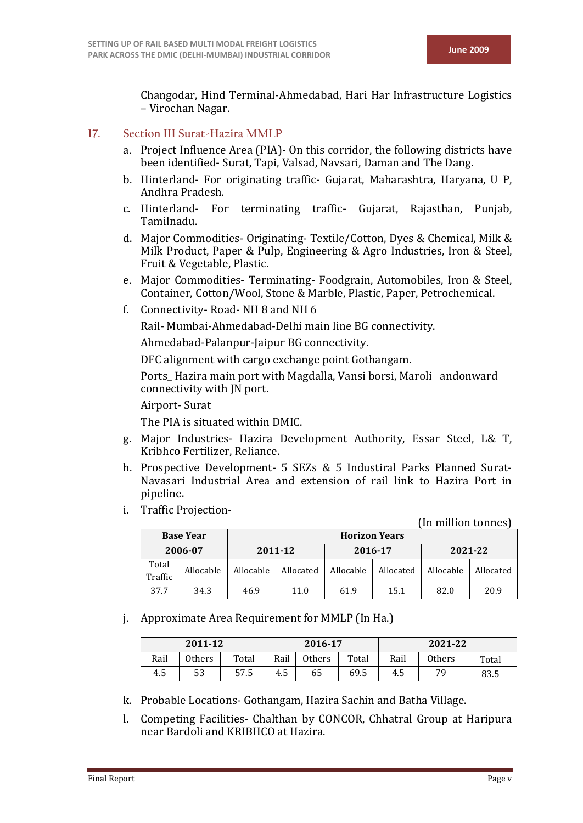Changodar, Hind Terminal-Ahmedabad, Hari Har Infrastructure Logistics – Virochan Nagar.

## **17. Section III Surat-Hazira MMLP**

- a. Project Influence Area (PIA)- On this corridor, the following districts have been identified- Surat, Tapi, Valsad, Navsari, Daman and The Dang.
- b. Hinterland- For originating traffic- Gujarat, Maharashtra, Haryana, U P, Andhra Pradesh.
- c. Hinterland- For terminating traffic- Gujarat, Rajasthan, Punjab, Tamilnadu.
- d. Major Commodities- Originating- Textile/Cotton, Dyes & Chemical, Milk & Milk Product, Paper & Pulp, Engineering & Agro Industries, Iron & Steel, Fruit & Vegetable, Plastic.
- e. Major Commodities- Terminating- Foodgrain, Automobiles, Iron & Steel, Container, Cotton/Wool, Stone & Marble, Plastic, Paper, Petrochemical.
- f. Connectivity- Road- NH 8 and NH 6

Rail- Mumbai-Ahmedabad-Delhi main line BG connectivity.

Ahmedabad-Palanpur-Jaipur BG connectivity.

DFC alignment with cargo exchange point Gothangam.

Ports Hazira main port with Magdalla, Vansi borsi, Maroli andonward connectivity with JN port.

Airport- Surat

The PIA is situated within DMIC.

- g. Major Industries- Hazira Development Authority, Essar Steel, L& T, Kribhco Fertilizer, Reliance.
- h. Prospective Development- 5 SEZs & 5 Industiral Parks Planned Surat-Navasari Industrial Area and extension of rail link to Hazira Port in pipeline.
- i. Traffic Projection-

(In million tonnes) **Base Year Horizon Years 2006-07 2011-12 2016-17 2021-22** Total<br>Traffic Traffic Allocable Allocable Allocated Allocable Allocated Allocable Allocated

j. Approximate Area Requirement for MMLP (In Ha.)

| 2011-12 |        |       | 2016-17                 |    |      | 2021-22 |        |       |  |
|---------|--------|-------|-------------------------|----|------|---------|--------|-------|--|
| Rail    | Others | Total | Rail<br>Total<br>Others |    |      | Rail    | Others | Total |  |
| 4.5     | 53     | 57.5  | 4.5                     | 65 | 69.5 | 4.5     | 70     | 83.5  |  |

37.7 34.3 46.9 11.0 61.9 15.1 82.0 20.9

k. Probable Locations- Gothangam, Hazira Sachin and Batha Village.

l. Competing Facilities- Chalthan by CONCOR, Chhatral Group at Haripura near Bardoli and KRIBHCO at Hazira.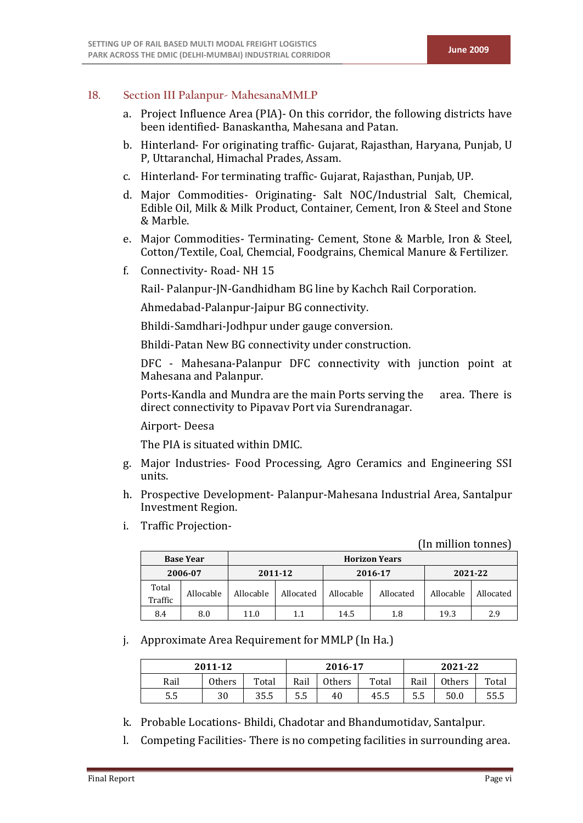## **18. Section III Palanpur- MahesanaMMLP**

- a. Project Influence Area (PIA)- On this corridor, the following districts have been identified- Banaskantha, Mahesana and Patan.
- b. Hinterland- For originating traffic- Gujarat, Rajasthan, Haryana, Punjab, U P, Uttaranchal, Himachal Prades, Assam.
- c. Hinterland- For terminating traffic- Gujarat, Rajasthan, Punjab, UP.
- d. Major Commodities- Originating- Salt NOC/Industrial Salt, Chemical, Edible Oil, Milk & Milk Product, Container, Cement, Iron & Steel and Stone & Marble.
- e. Major Commodities- Terminating- Cement, Stone & Marble, Iron & Steel, Cotton/Textile, Coal, Chemcial, Foodgrains, Chemical Manure & Fertilizer.
- f. Connectivity- Road- NH 15

Rail- Palanpur-JN-Gandhidham BG line by Kachch Rail Corporation.

Ahmedabad-Palanpur-Jaipur BG connectivity.

Bhildi-Samdhari-Jodhpur under gauge conversion.

Bhildi-Patan New BG connectivity under construction.

DFC - Mahesana-Palanpur DFC connectivity with junction point at Mahesana and Palanpur.

Ports-Kandla and Mundra are the main Ports serving the area. There is direct connectivity to Pipavav Port via Surendranagar.

Airport- Deesa

The PIA is situated within DMIC.

- g. Major Industries- Food Processing, Agro Ceramics and Engineering SSI units.
- h. Prospective Development- Palanpur-Mahesana Industrial Area, Santalpur Investment Region.
- i. Traffic Projection-

(In million tonnes)

|                  | <b>Base Year</b> |           | <b>Horizon Years</b> |           |           |           |           |  |  |  |  |
|------------------|------------------|-----------|----------------------|-----------|-----------|-----------|-----------|--|--|--|--|
| 2006-07          |                  | 2011-12   |                      |           | 2016-17   | 2021-22   |           |  |  |  |  |
| Total<br>Traffic | Allocable        | Allocable | Allocated            | Allocable | Allocated | Allocable | Allocated |  |  |  |  |
| 8.4              | 8.0              | 11.0      | 1.1                  | 14.5      | 1.8       | 19.3      | 2.9       |  |  |  |  |

j. Approximate Area Requirement for MMLP (In Ha.)

| 2011-12 |               | 2016-17 |                         | 2021-22 |      |      |        |       |
|---------|---------------|---------|-------------------------|---------|------|------|--------|-------|
| Rail    | <b>Others</b> | Total   | Rail<br>Total<br>Others |         |      | Rail | Others | Total |
| 5.5     | 30            | 35.5    | 5.5                     | 40      | 45.5 | 5.5  | 50.0   | 55.5  |

- k. Probable Locations- Bhildi, Chadotar and Bhandumotidav, Santalpur.
- l. Competing Facilities- There is no competing facilities in surrounding area.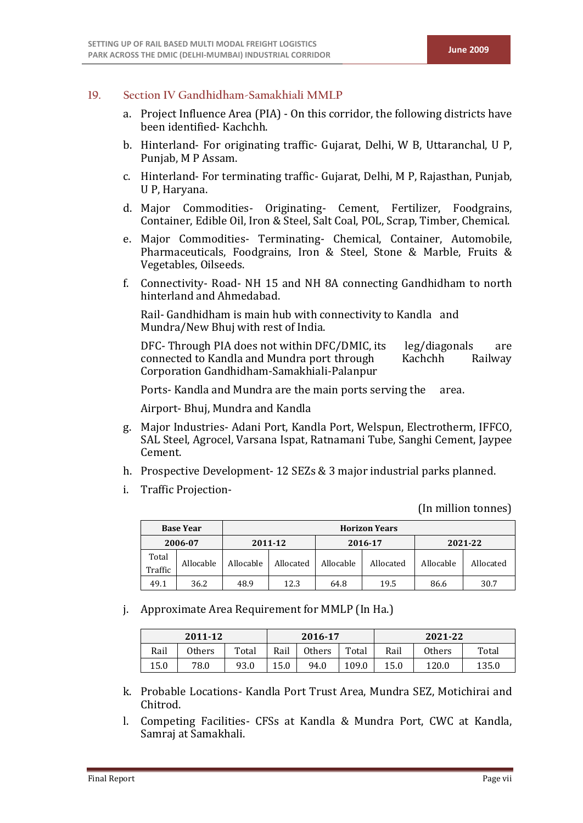### **19. Section IV Gandhidham-Samakhiali MMLP**

- a. Project Influence Area (PIA) On this corridor, the following districts have been identified- Kachchh.
- b. Hinterland- For originating traffic- Gujarat, Delhi, W B, Uttaranchal, U P, Punjab, M P Assam.
- c. Hinterland- For terminating traffic- Gujarat, Delhi, M P, Rajasthan, Punjab, U P, Haryana.
- d. Major Commodities- Originating- Cement, Fertilizer, Foodgrains, Container, Edible Oil, Iron & Steel, Salt Coal, POL, Scrap, Timber, Chemical.
- e. Major Commodities- Terminating- Chemical, Container, Automobile, Pharmaceuticals, Foodgrains, Iron & Steel, Stone & Marble, Fruits & Vegetables, Oilseeds.
- f. Connectivity- Road- NH 15 and NH 8A connecting Gandhidham to north hinterland and Ahmedabad.

Rail- Gandhidham is main hub with connectivity to Kandla and Mundra/New Bhuj with rest of India.

DFC- Through PIA does not within DFC/DMIC, its leg/diagonals are connected to Kandla and Mundra port through Kachchh Railway connected to Kandla and Mundra port through Corporation Gandhidham-Samakhiali-Palanpur

Ports- Kandla and Mundra are the main ports serving the area.

Airport- Bhuj, Mundra and Kandla

- g. Major Industries- Adani Port, Kandla Port, Welspun, Electrotherm, IFFCO, SAL Steel, Agrocel, Varsana Ispat, Ratnamani Tube, Sanghi Cement, Jaypee Cement.
- h. Prospective Development- 12 SEZs & 3 major industrial parks planned.
- i. Traffic Projection-

(In million tonnes)

|                  | <b>Base Year</b> |           | <b>Horizon Years</b> |           |           |           |           |  |  |  |  |
|------------------|------------------|-----------|----------------------|-----------|-----------|-----------|-----------|--|--|--|--|
| 2006-07          |                  | 2011-12   |                      | 2016-17   |           | 2021-22   |           |  |  |  |  |
| Total<br>Traffic | Allocable        | Allocable | Allocated            | Allocable | Allocated | Allocable | Allocated |  |  |  |  |
| 49.1             | 36.2             | 48.9      | 12.3                 | 64.8      | 19.5      | 86.6      | 30.7      |  |  |  |  |

j. Approximate Area Requirement for MMLP (In Ha.)

| 2011-12 |        |       | 2016-17                        |      |       | 2021-22 |        |       |  |
|---------|--------|-------|--------------------------------|------|-------|---------|--------|-------|--|
| Rail    | Others | Total | Total<br>Rail<br><b>Others</b> |      |       | Rail    | Others | Total |  |
| 15.0    | 78.0   | 93.0  | 15.0                           | 94.0 | 109.0 | 15.0    | 120.0  | 135.0 |  |

- k. Probable Locations- Kandla Port Trust Area, Mundra SEZ, Motichirai and Chitrod.
- l. Competing Facilities- CFSs at Kandla & Mundra Port, CWC at Kandla, Samraj at Samakhali.